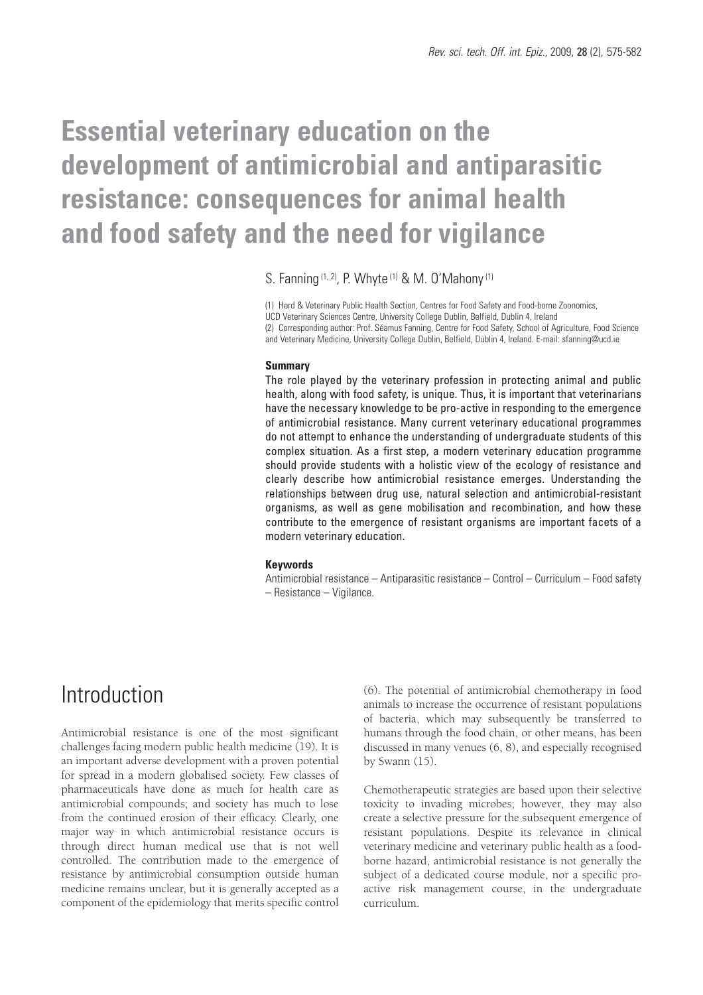# **Essential veterinary education on the development of antimicrobial and antiparasitic resistance: consequences for animal health and food safety and the need for vigilance**

S. Fanning (1, 2), P. Whyte (1) & M. O'Mahony(1)

(1) Herd & Veterinary Public Health Section, Centres for Food Safety and Food-borne Zoonomics, UCD Veterinary Sciences Centre, University College Dublin, Belfield, Dublin 4, Ireland (2) Corresponding author: Prof. Séamus Fanning, Centre for Food Safety, School of Agriculture, Food Science and Veterinary Medicine, University College Dublin, Belfield, Dublin 4, Ireland. E-mail: sfanning@ucd.ie

#### **Summary**

The role played by the veterinary profession in protecting animal and public health, along with food safety, is unique. Thus, it is important that veterinarians have the necessary knowledge to be pro-active in responding to the emergence of antimicrobial resistance. Many current veterinary educational programmes do not attempt to enhance the understanding of undergraduate students of this complex situation. As a first step, a modern veterinary education programme should provide students with a holistic view of the ecology of resistance and clearly describe how antimicrobial resistance emerges. Understanding the relationships between drug use, natural selection and antimicrobial-resistant organisms, as well as gene mobilisation and recombination, and how these contribute to the emergence of resistant organisms are important facets of a modern veterinary education.

#### **Keywords**

Antimicrobial resistance – Antiparasitic resistance – Control – Curriculum – Food safety – Resistance – Vigilance.

### Introduction

Antimicrobial resistance is one of the most significant challenges facing modern public health medicine (19). It is an important adverse development with a proven potential for spread in a modern globalised society. Few classes of pharmaceuticals have done as much for health care as antimicrobial compounds; and society has much to lose from the continued erosion of their efficacy. Clearly, one major way in which antimicrobial resistance occurs is through direct human medical use that is not well controlled. The contribution made to the emergence of resistance by antimicrobial consumption outside human medicine remains unclear, but it is generally accepted as a component of the epidemiology that merits specific control

(6). The potential of antimicrobial chemotherapy in food animals to increase the occurrence of resistant populations of bacteria, which may subsequently be transferred to humans through the food chain, or other means, has been discussed in many venues (6, 8), and especially recognised by Swann (15).

Chemotherapeutic strategies are based upon their selective toxicity to invading microbes; however, they may also create a selective pressure for the subsequent emergence of resistant populations. Despite its relevance in clinical veterinary medicine and veterinary public health as a foodborne hazard, antimicrobial resistance is not generally the subject of a dedicated course module, nor a specific proactive risk management course, in the undergraduate curriculum.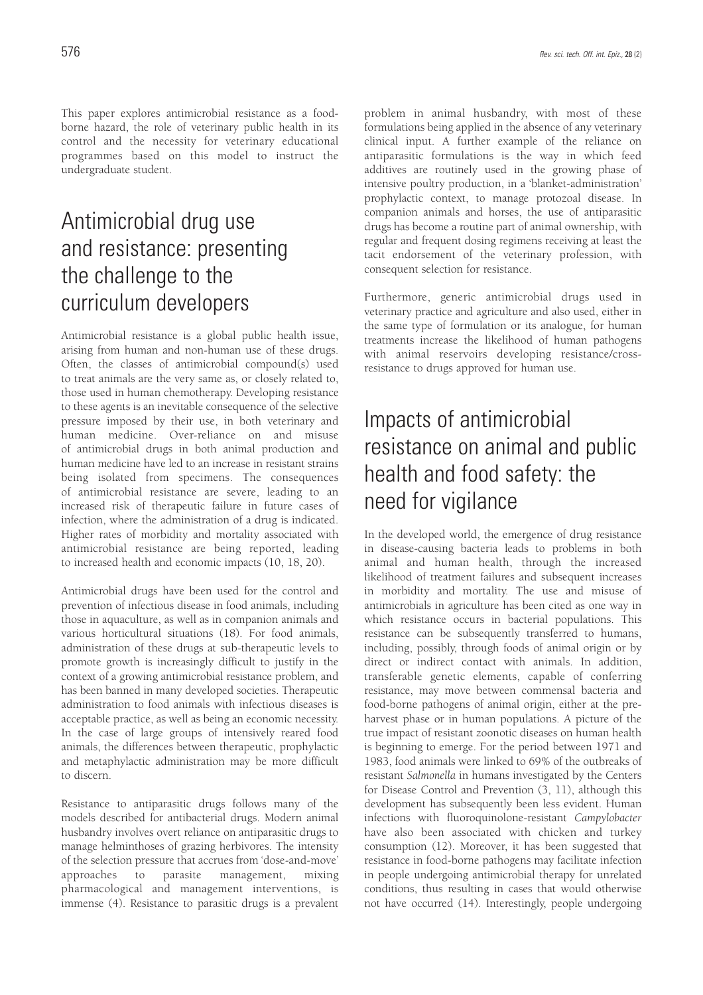This paper explores antimicrobial resistance as a foodborne hazard, the role of veterinary public health in its control and the necessity for veterinary educational programmes based on this model to instruct the undergraduate student.

## Antimicrobial drug use and resistance: presenting the challenge to the curriculum developers

Antimicrobial resistance is a global public health issue, arising from human and non-human use of these drugs. Often, the classes of antimicrobial compound(s) used to treat animals are the very same as, or closely related to, those used in human chemotherapy. Developing resistance to these agents is an inevitable consequence of the selective pressure imposed by their use, in both veterinary and human medicine. Over-reliance on and misuse of antimicrobial drugs in both animal production and human medicine have led to an increase in resistant strains being isolated from specimens. The consequences of antimicrobial resistance are severe, leading to an increased risk of therapeutic failure in future cases of infection, where the administration of a drug is indicated. Higher rates of morbidity and mortality associated with antimicrobial resistance are being reported, leading to increased health and economic impacts (10, 18, 20).

Antimicrobial drugs have been used for the control and prevention of infectious disease in food animals, including those in aquaculture, as well as in companion animals and various horticultural situations (18). For food animals, administration of these drugs at sub-therapeutic levels to promote growth is increasingly difficult to justify in the context of a growing antimicrobial resistance problem, and has been banned in many developed societies. Therapeutic administration to food animals with infectious diseases is acceptable practice, as well as being an economic necessity. In the case of large groups of intensively reared food animals, the differences between therapeutic, prophylactic and metaphylactic administration may be more difficult to discern.

Resistance to antiparasitic drugs follows many of the models described for antibacterial drugs. Modern animal husbandry involves overt reliance on antiparasitic drugs to manage helminthoses of grazing herbivores. The intensity of the selection pressure that accrues from 'dose-and-move' approaches to parasite management, mixing pharmacological and management interventions, is immense (4). Resistance to parasitic drugs is a prevalent

problem in animal husbandry, with most of these formulations being applied in the absence of any veterinary clinical input. A further example of the reliance on antiparasitic formulations is the way in which feed additives are routinely used in the growing phase of intensive poultry production, in a 'blanket-administration' prophylactic context, to manage protozoal disease. In companion animals and horses, the use of antiparasitic drugs has become a routine part of animal ownership, with regular and frequent dosing regimens receiving at least the tacit endorsement of the veterinary profession, with consequent selection for resistance.

Furthermore, generic antimicrobial drugs used in veterinary practice and agriculture and also used, either in the same type of formulation or its analogue, for human treatments increase the likelihood of human pathogens with animal reservoirs developing resistance/crossresistance to drugs approved for human use.

## Impacts of antimicrobial resistance on animal and public health and food safety: the need for vigilance

In the developed world, the emergence of drug resistance in disease-causing bacteria leads to problems in both animal and human health, through the increased likelihood of treatment failures and subsequent increases in morbidity and mortality. The use and misuse of antimicrobials in agriculture has been cited as one way in which resistance occurs in bacterial populations. This resistance can be subsequently transferred to humans, including, possibly, through foods of animal origin or by direct or indirect contact with animals. In addition, transferable genetic elements, capable of conferring resistance, may move between commensal bacteria and food-borne pathogens of animal origin, either at the preharvest phase or in human populations. A picture of the true impact of resistant zoonotic diseases on human health is beginning to emerge. For the period between 1971 and 1983, food animals were linked to 69% of the outbreaks of resistant *Salmonella* in humans investigated by the Centers for Disease Control and Prevention (3, 11), although this development has subsequently been less evident. Human infections with fluoroquinolone-resistant *Campylobacter* have also been associated with chicken and turkey consumption (12). Moreover, it has been suggested that resistance in food-borne pathogens may facilitate infection in people undergoing antimicrobial therapy for unrelated conditions, thus resulting in cases that would otherwise not have occurred (14). Interestingly, people undergoing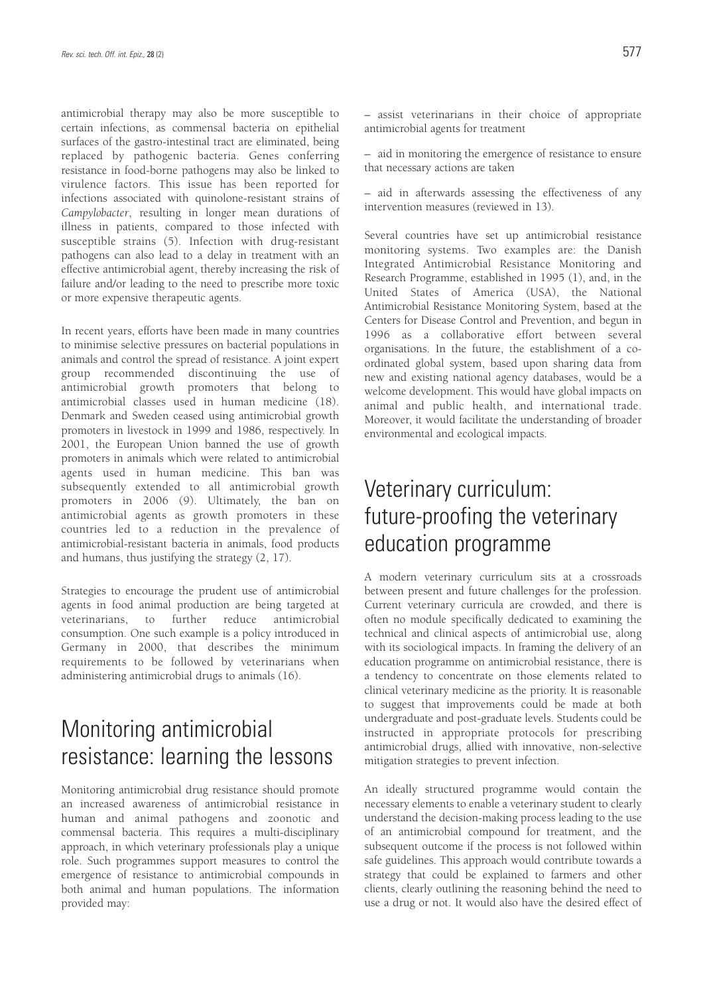antimicrobial therapy may also be more susceptible to certain infections, as commensal bacteria on epithelial surfaces of the gastro-intestinal tract are eliminated, being replaced by pathogenic bacteria. Genes conferring resistance in food-borne pathogens may also be linked to virulence factors. This issue has been reported for infections associated with quinolone-resistant strains of *Campylobacter*, resulting in longer mean durations of illness in patients, compared to those infected with susceptible strains (5). Infection with drug-resistant pathogens can also lead to a delay in treatment with an effective antimicrobial agent, thereby increasing the risk of failure and/or leading to the need to prescribe more toxic or more expensive therapeutic agents.

In recent years, efforts have been made in many countries to minimise selective pressures on bacterial populations in animals and control the spread of resistance. A joint expert group recommended discontinuing the use of antimicrobial growth promoters that belong to antimicrobial classes used in human medicine (18). Denmark and Sweden ceased using antimicrobial growth promoters in livestock in 1999 and 1986, respectively. In 2001, the European Union banned the use of growth promoters in animals which were related to antimicrobial agents used in human medicine. This ban was subsequently extended to all antimicrobial growth promoters in 2006 (9). Ultimately, the ban on antimicrobial agents as growth promoters in these countries led to a reduction in the prevalence of antimicrobial-resistant bacteria in animals, food products and humans, thus justifying the strategy (2, 17).

Strategies to encourage the prudent use of antimicrobial agents in food animal production are being targeted at veterinarians, to further reduce antimicrobial consumption. One such example is a policy introduced in Germany in 2000, that describes the minimum requirements to be followed by veterinarians when administering antimicrobial drugs to animals (16).

## Monitoring antimicrobial resistance: learning the lessons

Monitoring antimicrobial drug resistance should promote an increased awareness of antimicrobial resistance in human and animal pathogens and zoonotic and commensal bacteria. This requires a multi-disciplinary approach, in which veterinary professionals play a unique role. Such programmes support measures to control the emergence of resistance to antimicrobial compounds in both animal and human populations. The information provided may:

– aid in monitoring the emergence of resistance to ensure that necessary actions are taken

– aid in afterwards assessing the effectiveness of any intervention measures (reviewed in 13).

Several countries have set up antimicrobial resistance monitoring systems. Two examples are: the Danish Integrated Antimicrobial Resistance Monitoring and Research Programme, established in 1995 (1), and, in the United States of America (USA), the National Antimicrobial Resistance Monitoring System, based at the Centers for Disease Control and Prevention, and begun in 1996 as a collaborative effort between several organisations. In the future, the establishment of a coordinated global system, based upon sharing data from new and existing national agency databases, would be a welcome development. This would have global impacts on animal and public health, and international trade. Moreover, it would facilitate the understanding of broader environmental and ecological impacts.

### Veterinary curriculum: future-proofing the veterinary education programme

A modern veterinary curriculum sits at a crossroads between present and future challenges for the profession. Current veterinary curricula are crowded, and there is often no module specifically dedicated to examining the technical and clinical aspects of antimicrobial use, along with its sociological impacts. In framing the delivery of an education programme on antimicrobial resistance, there is a tendency to concentrate on those elements related to clinical veterinary medicine as the priority. It is reasonable to suggest that improvements could be made at both undergraduate and post-graduate levels. Students could be instructed in appropriate protocols for prescribing antimicrobial drugs, allied with innovative, non-selective mitigation strategies to prevent infection.

An ideally structured programme would contain the necessary elements to enable a veterinary student to clearly understand the decision-making process leading to the use of an antimicrobial compound for treatment, and the subsequent outcome if the process is not followed within safe guidelines. This approach would contribute towards a strategy that could be explained to farmers and other clients, clearly outlining the reasoning behind the need to use a drug or not. It would also have the desired effect of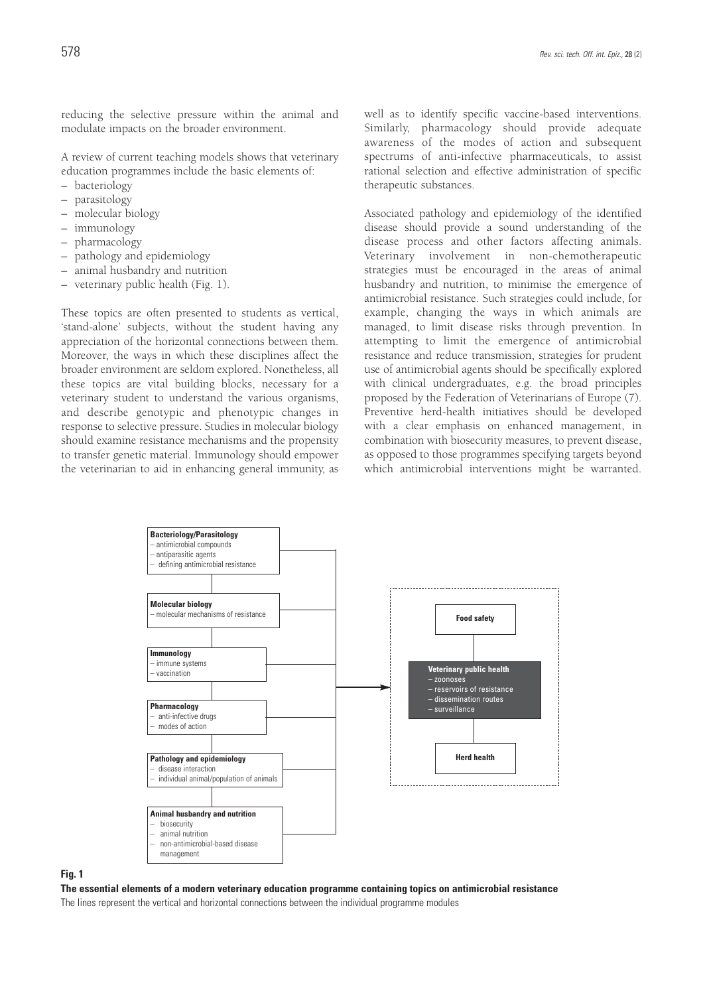reducing the selective pressure within the animal and modulate impacts on the broader environment.

A review of current teaching models shows that veterinary education programmes include the basic elements of:

- bacteriology
- parasitology
- molecular biology
- immunology
- pharmacology
- pathology and epidemiology
- animal husbandry and nutrition
- veterinary public health (Fig. 1).

These topics are often presented to students as vertical, 'stand-alone' subjects, without the student having any appreciation of the horizontal connections between them. Moreover, the ways in which these disciplines affect the broader environment are seldom explored. Nonetheless, all these topics are vital building blocks, necessary for a veterinary student to understand the various organisms, and describe genotypic and phenotypic changes in response to selective pressure. Studies in molecular biology should examine resistance mechanisms and the propensity to transfer genetic material. Immunology should empower the veterinarian to aid in enhancing general immunity, as well as to identify specific vaccine-based interventions. Similarly, pharmacology should provide adequate awareness of the modes of action and subsequent spectrums of anti-infective pharmaceuticals, to assist rational selection and effective administration of specific therapeutic substances.

Associated pathology and epidemiology of the identified disease should provide a sound understanding of the disease process and other factors affecting animals. Veterinary involvement in non-chemotherapeutic strategies must be encouraged in the areas of animal husbandry and nutrition, to minimise the emergence of antimicrobial resistance. Such strategies could include, for example, changing the ways in which animals are managed, to limit disease risks through prevention. In attempting to limit the emergence of antimicrobial resistance and reduce transmission, strategies for prudent use of antimicrobial agents should be specifically explored with clinical undergraduates, e.g. the broad principles proposed by the Federation of Veterinarians of Europe (7). Preventive herd-health initiatives should be developed with a clear emphasis on enhanced management, in combination with biosecurity measures, to prevent disease, as opposed to those programmes specifying targets beyond which antimicrobial interventions might be warranted.



#### **Fig. 1**

**The essential elements of a modern veterinary education programme containing topics on antimicrobial resistance**

The lines represent the vertical and horizontal connections between the individual programme modules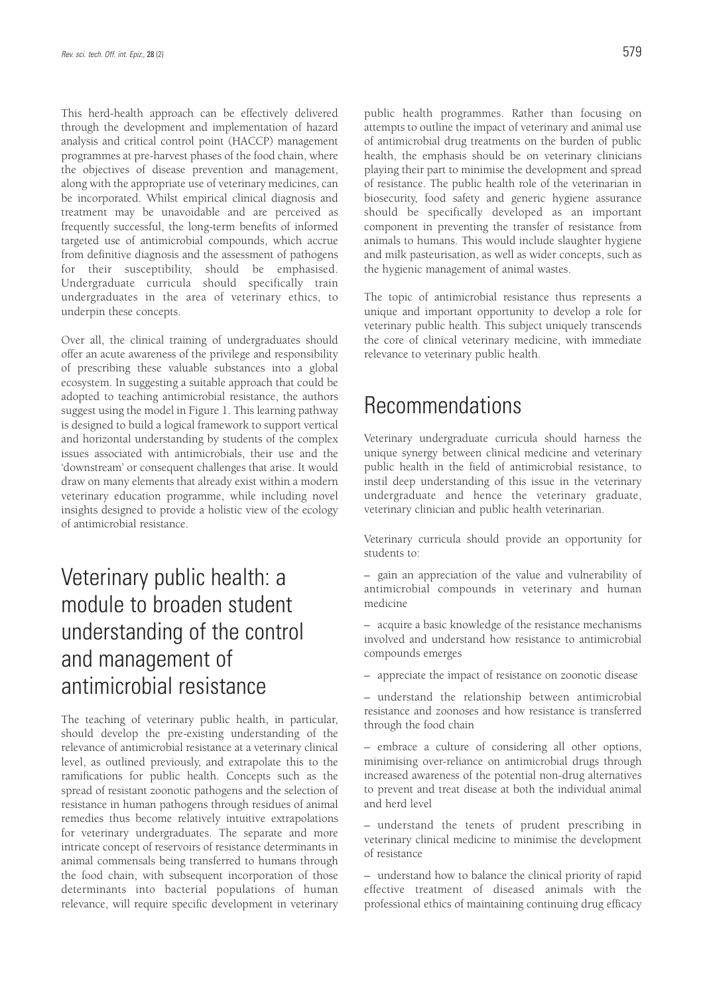This herd-health approach can be effectively delivered through the development and implementation of hazard analysis and critical control point (HACCP) management programmes at pre-harvest phases of the food chain, where the objectives of disease prevention and management, along with the appropriate use of veterinary medicines, can be incorporated. Whilst empirical clinical diagnosis and treatment may be unavoidable and are perceived as frequently successful, the long-term benefits of informed targeted use of antimicrobial compounds, which accrue from definitive diagnosis and the assessment of pathogens for their susceptibility, should be emphasised. Undergraduate curricula should specifically train undergraduates in the area of veterinary ethics, to underpin these concepts.

Over all, the clinical training of undergraduates should offer an acute awareness of the privilege and responsibility of prescribing these valuable substances into a global ecosystem. In suggesting a suitable approach that could be adopted to teaching antimicrobial resistance, the authors suggest using the model in Figure 1. This learning pathway is designed to build a logical framework to support vertical and horizontal understanding by students of the complex issues associated with antimicrobials, their use and the 'downstream' or consequent challenges that arise. It would draw on many elements that already exist within a modern veterinary education programme, while including novel insights designed to provide a holistic view of the ecology of antimicrobial resistance.

## Veterinary public health: a module to broaden student understanding of the control and management of antimicrobial resistance

The teaching of veterinary public health, in particular, should develop the pre-existing understanding of the relevance of antimicrobial resistance at a veterinary clinical level, as outlined previously, and extrapolate this to the ramifications for public health. Concepts such as the spread of resistant zoonotic pathogens and the selection of resistance in human pathogens through residues of animal remedies thus become relatively intuitive extrapolations for veterinary undergraduates. The separate and more intricate concept of reservoirs of resistance determinants in animal commensals being transferred to humans through the food chain, with subsequent incorporation of those determinants into bacterial populations of human relevance, will require specific development in veterinary

public health programmes. Rather than focusing on attempts to outline the impact of veterinary and animal use of antimicrobial drug treatments on the burden of public health, the emphasis should be on veterinary clinicians playing their part to minimise the development and spread of resistance. The public health role of the veterinarian in biosecurity, food safety and generic hygiene assurance should be specifically developed as an important component in preventing the transfer of resistance from animals to humans. This would include slaughter hygiene and milk pasteurisation, as well as wider concepts, such as the hygienic management of animal wastes.

The topic of antimicrobial resistance thus represents a unique and important opportunity to develop a role for veterinary public health. This subject uniquely transcends the core of clinical veterinary medicine, with immediate relevance to veterinary public health.

### Recommendations

Veterinary undergraduate curricula should harness the unique synergy between clinical medicine and veterinary public health in the field of antimicrobial resistance, to instil deep understanding of this issue in the veterinary undergraduate and hence the veterinary graduate, veterinary clinician and public health veterinarian.

Veterinary curricula should provide an opportunity for students to:

– gain an appreciation of the value and vulnerability of antimicrobial compounds in veterinary and human medicine

– acquire a basic knowledge of the resistance mechanisms involved and understand how resistance to antimicrobial compounds emerges

– appreciate the impact of resistance on zoonotic disease

– understand the relationship between antimicrobial resistance and zoonoses and how resistance is transferred through the food chain

– embrace a culture of considering all other options, minimising over-reliance on antimicrobial drugs through increased awareness of the potential non-drug alternatives to prevent and treat disease at both the individual animal and herd level

– understand the tenets of prudent prescribing in veterinary clinical medicine to minimise the development of resistance

– understand how to balance the clinical priority of rapid effective treatment of diseased animals with the professional ethics of maintaining continuing drug efficacy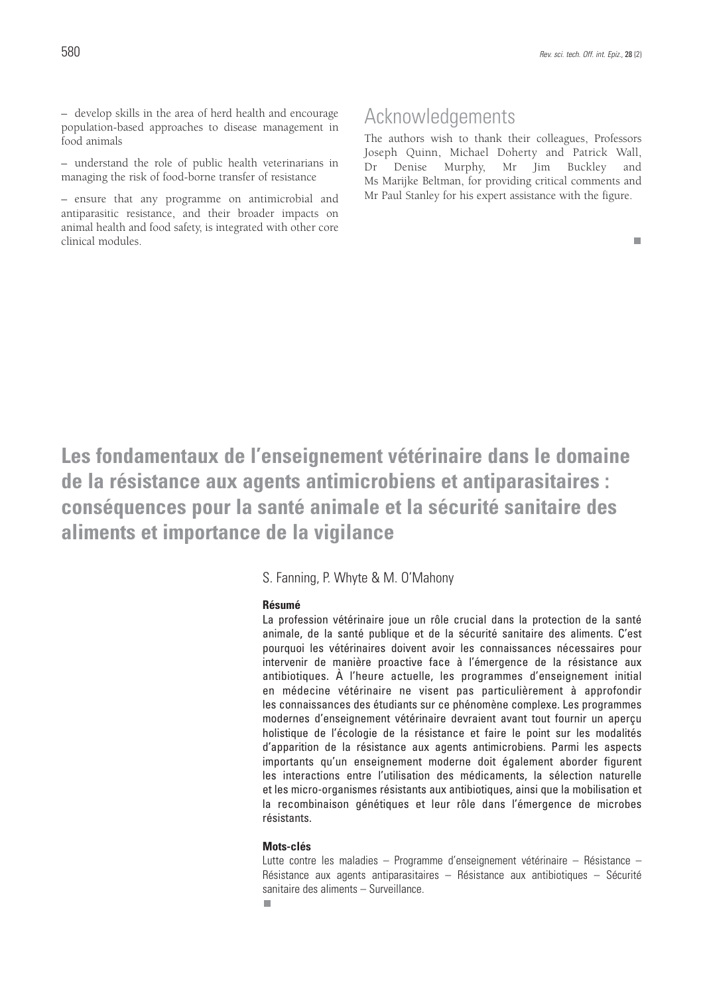– develop skills in the area of herd health and encourage population-based approaches to disease management in food animals

– understand the role of public health veterinarians in managing the risk of food-borne transfer of resistance

– ensure that any programme on antimicrobial and antiparasitic resistance, and their broader impacts on animal health and food safety, is integrated with other core clinical modules.

### Acknowledgements

The authors wish to thank their colleagues, Professors Joseph Quinn, Michael Doherty and Patrick Wall, Dr Denise Murphy, Mr Jim Buckley and Ms Marijke Beltman, for providing critical comments and Mr Paul Stanley for his expert assistance with the figure.

 $\blacksquare$ 

**Les fondamentaux de l'enseignement vétérinaire dans le domaine de la résistance aux agents antimicrobiens et antiparasitaires : conséquences pour la santé animale et la sécurité sanitaire des aliments et importance de la vigilance**

S. Fanning, P. Whyte & M. O'Mahony

#### **Résumé**

La profession vétérinaire joue un rôle crucial dans la protection de la santé animale, de la santé publique et de la sécurité sanitaire des aliments. C'est pourquoi les vétérinaires doivent avoir les connaissances nécessaires pour intervenir de manière proactive face à l'émergence de la résistance aux antibiotiques. À l'heure actuelle, les programmes d'enseignement initial en médecine vétérinaire ne visent pas particulièrement à approfondir les connaissances des étudiants sur ce phénomène complexe. Les programmes modernes d'enseignement vétérinaire devraient avant tout fournir un aperçu holistique de l'écologie de la résistance et faire le point sur les modalités d'apparition de la résistance aux agents antimicrobiens. Parmi les aspects importants qu'un enseignement moderne doit également aborder figurent les interactions entre l'utilisation des médicaments, la sélection naturelle et les micro-organismes résistants aux antibiotiques, ainsi que la mobilisation et la recombinaison génétiques et leur rôle dans l'émergence de microbes résistants.

### **Mots-clés**

m.

Lutte contre les maladies – Programme d'enseignement vétérinaire – Résistance – Résistance aux agents antiparasitaires – Résistance aux antibiotiques – Sécurité sanitaire des aliments – Surveillance.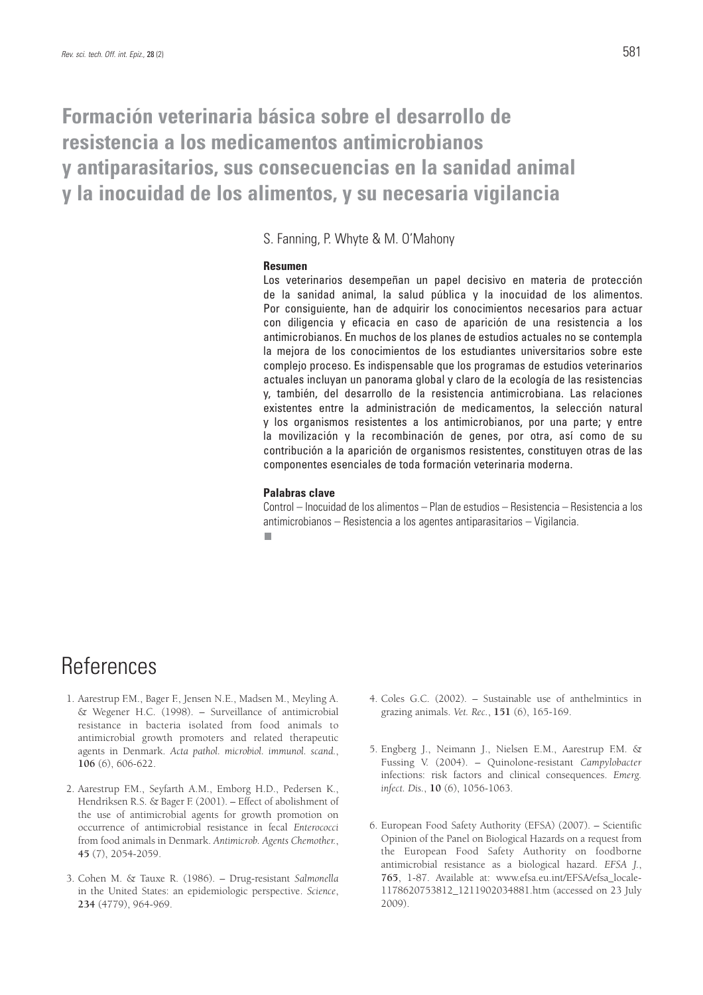### **Formación veterinaria básica sobre el desarrollo de resistencia a los medicamentos antimicrobianos y antiparasitarios, sus consecuencias en la sanidad animal y la inocuidad de los alimentos, y su necesaria vigilancia**

S. Fanning, P. Whyte & M. O'Mahony

#### **Resumen**

Los veterinarios desempeñan un papel decisivo en materia de protección de la sanidad animal, la salud pública y la inocuidad de los alimentos. Por consiguiente, han de adquirir los conocimientos necesarios para actuar con diligencia y eficacia en caso de aparición de una resistencia a los antimicrobianos. En muchos de los planes de estudios actuales no se contempla la mejora de los conocimientos de los estudiantes universitarios sobre este complejo proceso. Es indispensable que los programas de estudios veterinarios actuales incluyan un panorama global y claro de la ecología de las resistencias y, también, del desarrollo de la resistencia antimicrobiana. Las relaciones existentes entre la administración de medicamentos, la selección natural y los organismos resistentes a los antimicrobianos, por una parte; y entre la movilización y la recombinación de genes, por otra, así como de su contribución a la aparición de organismos resistentes, constituyen otras de las componentes esenciales de toda formación veterinaria moderna.

#### **Palabras clave**

Control – Inocuidad de los alimentos – Plan de estudios – Resistencia – Resistencia a los antimicrobianos – Resistencia a los agentes antiparasitarios – Vigilancia.n.

## References

- 1. Aarestrup F.M., Bager F., Jensen N.E., Madsen M., Meyling A. & Wegener H.C. (1998). – Surveillance of antimicrobial resistance in bacteria isolated from food animals to antimicrobial growth promoters and related therapeutic agents in Denmark. *Acta pathol. microbiol. immunol. scand.*, **106** (6), 606-622.
- 2. Aarestrup F.M., Seyfarth A.M., Emborg H.D., Pedersen K., Hendriksen R.S. & Bager F. (2001). – Effect of abolishment of the use of antimicrobial agents for growth promotion on occurrence of antimicrobial resistance in fecal *Enterococci* from food animals in Denmark. *Antimicrob. Agents Chemother.*, **45** (7), 2054-2059.
- 3. Cohen M. & Tauxe R. (1986). Drug-resistant *Salmonella* in the United States: an epidemiologic perspective. *Science*, **234** (4779), 964-969.
- 4. Coles G.C. (2002). Sustainable use of anthelmintics in grazing animals. *Vet. Rec.*, **151** (6), 165-169.
- 5. Engberg J., Neimann J., Nielsen E.M., Aarestrup F.M. & Fussing V. (2004). – Quinolone-resistant *Campylobacter* infections: risk factors and clinical consequences. *Emerg. infect. Dis.*, **10** (6), 1056-1063.
- 6. European Food Safety Authority (EFSA) (2007). Scientific Opinion of the Panel on Biological Hazards on a request from the European Food Safety Authority on foodborne antimicrobial resistance as a biological hazard. *EFSA J.*, **765**, 1-87. Available at: www.efsa.eu.int/EFSA/efsa\_locale-1178620753812\_1211902034881.htm (accessed on 23 July 2009).